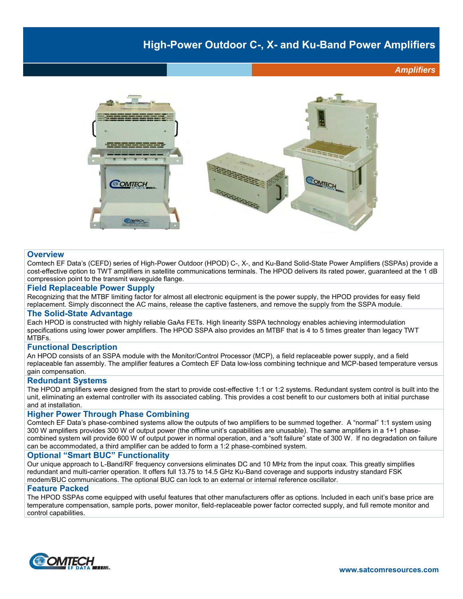## **High-Power Outdoor C-, X- and Ku-Band Power Amplifiers**

*Amplifiers*



#### **Overview**

Comtech EF Data's (CEFD) series of High-Power Outdoor (HPOD) C-, X-, and Ku-Band Solid-State Power Amplifiers (SSPAs) provide a cost-effective option to TWT amplifiers in satellite communications terminals. The HPOD delivers its rated power, guaranteed at the 1 dB compression point to the transmit waveguide flange.

#### **Field Replaceable Power Supply**

Recognizing that the MTBF limiting factor for almost all electronic equipment is the power supply, the HPOD provides for easy field replacement. Simply disconnect the AC mains, release the captive fasteners, and remove the supply from the SSPA module.

#### **The Solid-State Advantage**

Each HPOD is constructed with highly reliable GaAs FETs. High linearity SSPA technology enables achieving intermodulation specifications using lower power amplifiers. The HPOD SSPA also provides an MTBF that is 4 to 5 times greater than legacy TWT MTBFs.

#### **Functional Description**

An HPOD consists of an SSPA module with the Monitor/Control Processor (MCP), a field replaceable power supply, and a field replaceable fan assembly. The amplifier features a Comtech EF Data low-loss combining technique and MCP-based temperature versus gain compensation.

#### **Redundant Systems**

The HPOD amplifiers were designed from the start to provide cost-effective 1:1 or 1:2 systems. Redundant system control is built into the unit, eliminating an external controller with its associated cabling. This provides a cost benefit to our customers both at initial purchase and at installation.

#### **Higher Power Through Phase Combining**

Comtech EF Data's phase-combined systems allow the outputs of two amplifiers to be summed together. A "normal" 1:1 system using 300 W amplifiers provides 300 W of output power (the offline unit's capabilities are unusable). The same amplifiers in a 1+1 phasecombined system will provide 600 W of output power in normal operation, and a "soft failure" state of 300 W. If no degradation on failure can be accommodated, a third amplifier can be added to form a 1:2 phase-combined system.

#### **Optional "Smart BUC" Functionality**

Our unique approach to L-Band/RF frequency conversions eliminates DC and 10 MHz from the input coax. This greatly simplifies redundant and multi-carrier operation. It offers full 13.75 to 14.5 GHz Ku-Band coverage and supports industry standard FSK modem/BUC communications. The optional BUC can lock to an external or internal reference oscillator.

#### **Feature Packed**

The HPOD SSPAs come equipped with useful features that other manufacturers offer as options. Included in each unit's base price are temperature compensation, sample ports, power monitor, field-replaceable power factor corrected supply, and full remote monitor and control capabilities.